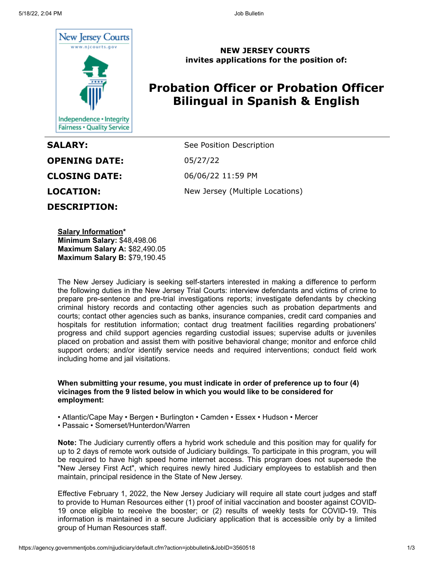

**OPENING DATE:** 05/27/22 **CLOSING DATE:** 06/06/22 11:59 PM **DESCRIPTION:**

**NEW JERSEY COURTS invites applications for the position of:**

# **Probation Officer or Probation Officer Bilingual in Spanish & English**

**SALARY:** See Position Description **LOCATION:** New Jersey (Multiple Locations)

**Salary Information\* Minimum Salary:** \$48,498.06 **Maximum Salary A:** \$82,490.05 **Maximum Salary B:** \$79,190.45

The New Jersey Judiciary is seeking self-starters interested in making a difference to perform the following duties in the New Jersey Trial Courts: interview defendants and victims of crime to prepare pre-sentence and pre-trial investigations reports; investigate defendants by checking criminal history records and contacting other agencies such as probation departments and courts; contact other agencies such as banks, insurance companies, credit card companies and hospitals for restitution information; contact drug treatment facilities regarding probationers' progress and child support agencies regarding custodial issues; supervise adults or juveniles placed on probation and assist them with positive behavioral change; monitor and enforce child support orders; and/or identify service needs and required interventions; conduct field work including home and jail visitations.

**When submitting your resume, you must indicate in order of preference up to four (4) vicinages from the 9 listed below in which you would like to be considered for employment:**

• Atlantic/Cape May • Bergen • Burlington • Camden • Essex • Hudson • Mercer

• Passaic • Somerset/Hunterdon/Warren

**Note:** The Judiciary currently offers a hybrid work schedule and this position may for qualify for up to 2 days of remote work outside of Judiciary buildings. To participate in this program, you will be required to have high speed home internet access. This program does not supersede the "New Jersey First Act", which requires newly hired Judiciary employees to establish and then maintain, principal residence in the State of New Jersey.

Effective February 1, 2022, the New Jersey Judiciary will require all state court judges and staff to provide to Human Resources either (1) proof of initial vaccination and booster against COVID-19 once eligible to receive the booster; or (2) results of weekly tests for COVID-19. This information is maintained in a secure Judiciary application that is accessible only by a limited group of Human Resources staff.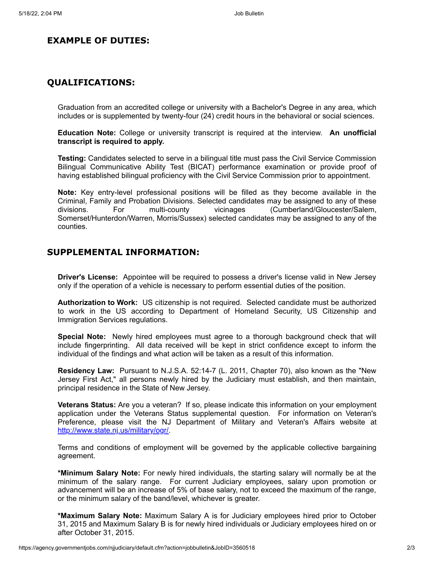## **EXAMPLE OF DUTIES:**

#### **QUALIFICATIONS:**

Graduation from an accredited college or university with a Bachelor's Degree in any area, which includes or is supplemented by twenty-four (24) credit hours in the behavioral or social sciences.

**Education Note:** College or university transcript is required at the interview. **An unofficial transcript is required to apply.**

**Testing:** Candidates selected to serve in a bilingual title must pass the Civil Service Commission Bilingual Communicative Ability Test (BICAT) performance examination or provide proof of having established bilingual proficiency with the Civil Service Commission prior to appointment.

**Note:** Key entry-level professional positions will be filled as they become available in the Criminal, Family and Probation Divisions. Selected candidates may be assigned to any of these divisions. For multi-county vicinages (Cumberland/Gloucester/Salem, Somerset/Hunterdon/Warren, Morris/Sussex) selected candidates may be assigned to any of the counties.

### **SUPPLEMENTAL INFORMATION:**

**Driver's License:** Appointee will be required to possess a driver's license valid in New Jersey only if the operation of a vehicle is necessary to perform essential duties of the position.

**Authorization to Work:** US citizenship is not required. Selected candidate must be authorized to work in the US according to Department of Homeland Security, US Citizenship and Immigration Services regulations.

**Special Note:** Newly hired employees must agree to a thorough background check that will include fingerprinting. All data received will be kept in strict confidence except to inform the individual of the findings and what action will be taken as a result of this information.

**Residency Law:** Pursuant to N.J.S.A. 52:14-7 (L. 2011, Chapter 70), also known as the "New Jersey First Act," all persons newly hired by the Judiciary must establish, and then maintain, principal residence in the State of New Jersey.

**Veterans Status:** Are you a veteran? If so, please indicate this information on your employment application under the Veterans Status supplemental question. For information on Veteran's Preference, please visit the NJ Department of Military and Veteran's Affairs website at [http://www.state.nj.us/military/ogr/.](http://www.state.nj.us/military/ogr/)

Terms and conditions of employment will be governed by the applicable collective bargaining agreement.

**\*Minimum Salary Note:** For newly hired individuals, the starting salary will normally be at the minimum of the salary range. For current Judiciary employees, salary upon promotion or advancement will be an increase of 5% of base salary, not to exceed the maximum of the range, or the minimum salary of the band/level, whichever is greater.

**\*Maximum Salary Note:** Maximum Salary A is for Judiciary employees hired prior to October 31, 2015 and Maximum Salary B is for newly hired individuals or Judiciary employees hired on or after October 31, 2015.